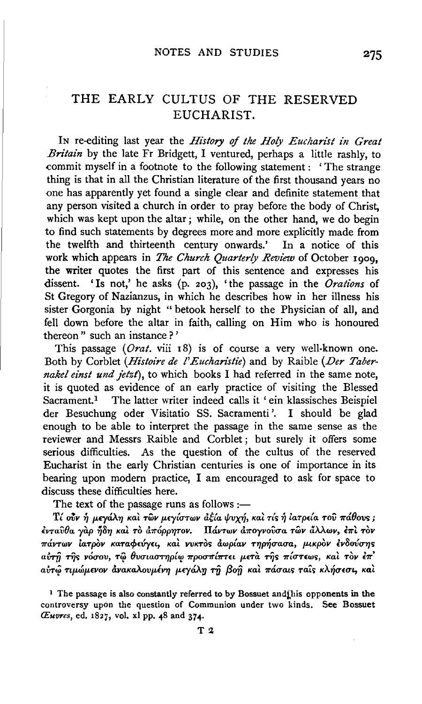# THE EARLY CULTUS OF THE RESERVED EUCHARIST.

IN re-editing last year the *History* of *the Holy Eucharist in Great Britain* by the late Fr Bridgett, I ventured, perhaps a little rashly, to commit myself in a footnote to the following statement : ' The strange thing is that in all the Christian literature of the first thousand years no one has apparently yet found a single clear and definite statement that any person visited a church in order to pray before the body of Christ, which was kept upon the altar; while, on the other hand, we do begin to find such statements by degrees more and more explicitly made from the twelfth and thirteenth century onwards.' In a notice of this work which appears in *The Church Quarterly Review* of October 1909, the writer quotes the first part of this sentence and expresses his dissent. 'Is not,' he asks (p. 203), 'the passage in the *Orations* of St Gregory of Nazianzus, in which he describes how in her illness his sister Gorgonia by night " betook herself to the Physician of all, and fell down before the altar in faith, calling on Him who is honoured thereon " such an instance ? '

This passage (*Orat.* viii 18) is of course a very well-known one. Both by Corblet *(Histoire de l'Eucharistie)* and by Raible *(Der Tabernakel einst und jetzt),* to which books I had referred in the same note, it is quoted as evidence of an early practice of visiting the Blessed Sacrament.<sup>1</sup> The latter writer indeed calls it ' ein klassisches Beispiel der Besuchung oder Visitatio SS. Sacramenti '. I should be glad enough to be able to interpret the passage in the same sense as the reviewer and Messrs Raible and Corblet; but surely it offers some serious difficulties. As the question of the cultus of the reserved Eucharist in the early Christian centuries is one of importance in its bearing upon modern practice, I am encouraged to ask for space to discuss these difficulties here.

The text of the passage runs as follows  $:=$ 

Tί ούν ή μεγάλη και των μεγίστων αξία ψυχή, και τίς ή ιατρεία του πάθους; *€vTavOa yap* ~8'1/ *Kal .,.6 a7T6pp'fi'TOV. llttVTWV a7Toyvovua 'TWV a.U.wv,* E7TL *T6v*   $\pi$ άντων ίατρὸν καταφεύγει, και νυκτος αωρίαν τηρήσασα, μικρον ενδούσης aύτη της νόσου, τω θυσιαστηρίω προσπίπτει μετα της πίστεως, και τον έπ' *ain-41 Ttp.wp.£VOV avaKaAovp.lV'fl p.£ycf.Ay* rfj Pofi *Kal 7TtlUat<; TaL<; KA-r/u£Ut., Kal* 

<sup>1</sup> The passage is also constantly referred to by Bossuet and inis opponents in the controversy upon the question of Communion under two kinds. See Bossuet *Cuvres, ed. 1827, vol. xl pp. 48 and 374.*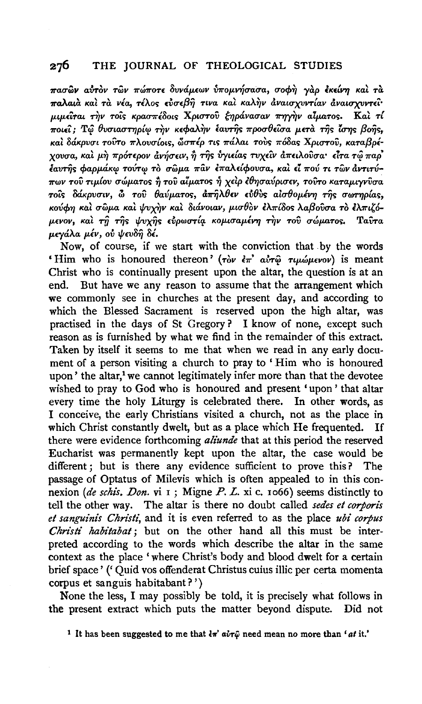#### 276 THE JOURNAL OF THEOLOGICAL STUDIES

πασών αύτον των πώποτε δυνάμεων ύπομνήσασα, σοφή γαρ έκείνη και τα παλαιά και τα νέα, τέλος εύσεβη τινα και καλην αναισχυντίαν αναισχυντεί· μιμείται την τοίς κρασπέδοις Χριστού ξηράνασαν πηγήν αίματος. Καί τί ποιεί; Τω θυσιαστηρίω την κεφαλήν έαυτης προσθείσα μετά της ίσης βοής. και δάκρυσι τούτο πλουσίοις, ώσπέρ τις πάλαι τούς πόδας Χριστού, καταβρέχουσα, και μη πρότερον άνήσειν, ή της υγιείας τυχείν άπειλούσα· είτα τώ παρ' έαυτης φαρμάκω τούτω το σώμα παν επαλείφουσα, και εί πού τι των αντιτύπων του τιμίου σώματος ή του αίματος ή χειρ έθησαύρισεν, τουτο καταμιγνύσα τοίς δάκρυσιν, ω του θαύματος, άπηλθεν εύθυς αίσθομένη της σωτηρίας, κούφη και σώμα και ψυχήν και διάνοιαν, μισθον ελπίδος λαβούσα το ελπιζόμενον, και τη της ψυχής εύρωστία κομισαμένη την του σώματος. Taîra μενάλα μέν, ού ψευδή δέ.

Now, of course, if we start with the conviction that by the words 'Him who is honoured thereon' (ròv  $\epsilon \pi$ ' avr $\hat{\varphi}$   $\tau \mu \omega \mu \epsilon \nu \omega v$ ) is meant Christ who is continually present upon the altar, the question is at an end. But have we any reason to assume that the arrangement which we commonly see in churches at the present day, and according to which the Blessed Sacrament is reserved upon the high altar, was practised in the days of St Gregory? I know of none, except such reason as is furnished by what we find in the remainder of this extract. Taken by itself it seems to me that when we read in any early document of a person visiting a church to pray to 'Him who is honoured upon' the altar,<sup>1</sup> we cannot legitimately infer more than that the devotee wished to pray to God who is honoured and present 'upon' that altar every time the holy Liturgy is celebrated there. In other words, as I conceive, the early Christians visited a church, not as the place in which Christ constantly dwelt, but as a place which He frequented. Τf there were evidence forthcoming *aliunde* that at this period the reserved Eucharist was permanently kept upon the altar, the case would be different; but is there any evidence sufficient to prove this? The passage of Optatus of Milevis which is often appealed to in this connexion (de schis. Don. vi  $\bar{1}$ ; Migne P. L. xi c. 1066) seems distinctly to tell the other way. The altar is there no doubt called sedes et corporis et sanguinis Christi, and it is even referred to as the place ubi corpus Christi habitabat; but on the other hand all this must be interpreted according to the words which describe the altar in the same context as the place 'where Christ's body and blood dwelt for a certain brief space' ('Quid vos offenderat Christus cuius illic per certa momenta corpus et sanguis habitabant?')

None the less, I may possibly be told, it is precisely what follows in the present extract which puts the matter beyond dispute. Did not

<sup>&</sup>lt;sup>1</sup> It has been suggested to me that  $\frac{1}{4}\pi'$  avr $\hat{\varphi}$  need mean no more than 'at it.'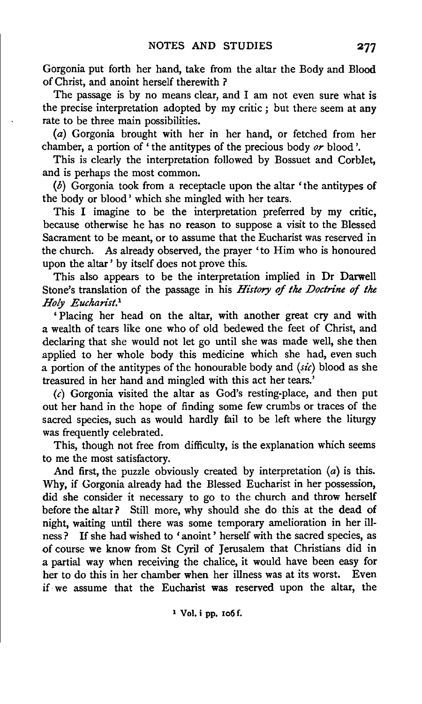Gorgonia put forth her hand, take from the altar the Body and Blood of Christ, and anoint herself therewith ?

The passage is by no means clear, and I am not even sure what is the precise interpretation adopted by my critic ; but there seem at any rate to be three main possibilities.

(a) Gorgonia brought with her in her hand, or fetched from her chamber, a portion of 'the antitypes of the precious body *or* blood'.

This is clearly the interpretation followed by Bossuet and Corblet, and is perhaps the most common.

(b) Gorgonia took from a receptacle upon the altar 'the antitypes of the body or blood' which she mingled with her tears.

This I imagine to be the interpretation preferred by my critic, because otherwise he has no reason to suppose a visit to the Blessed Sacrament to be meant, or to assume that the Eucharist was reserved in the church. As already observed, the prayer 'to Him who is honoured upon the altar' by itself does not prove this.

This also appears to be the interpretation implied in Dr Darwell Stone's translation of the passage in his *History* of *the Doctrine of the Holy Eucharist. <sup>1</sup>*

' Placing her head on the altar, with another great cry and with a wealth of tears like one who of old bedewed the feet of Christ, and declaring that she would not let go until she was made well, she then applied to her whole body this medicine which she had, even such a portion of the antitypes of the honourable body and *(sic)* blood as she treasured in her hand and mingled with this act her tears.'

 $(c)$  Gorgonia visited the altar as God's resting-place, and then put out her hand in the hope of finding some few crumbs or traces of the sacred species, such as would hardly fail to be left where the liturgy was frequently celebrated.

This, though not free from difficulty, is the explanation which seems to me the most satisfactory.

And first, the puzzle obviously created by interpretation  $(a)$  is this. Why, if Gorgonia already had the Blessed Eucharist in her possession, did she consider it necessary to go to the church and throw herself before the altar? Still more, why should she do this at the dead of night, waiting until there was some temporary amelioration in her illness? If she had wished to 'anoint ' herself with the sacred species, as of course we know from St Cyril of Jerusalem that Christians did in a partial way when receiving the chalice, it would have been easy for her to do this in her chamber when her illness was at its worst. Even if we assume that the Eucharist was reserved upon the altar, the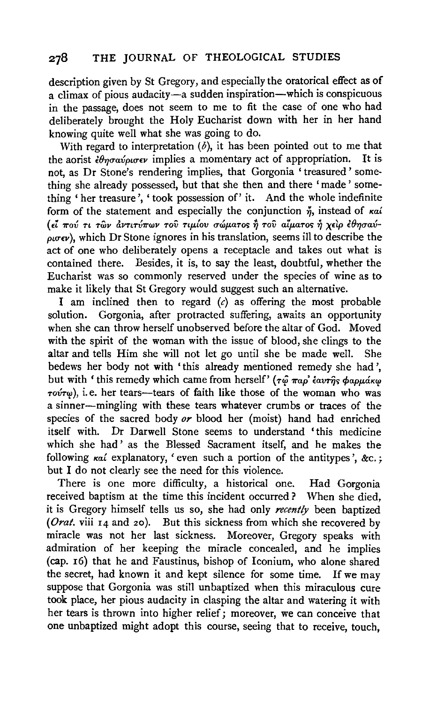## 278 THE JOURNAL OF THEOLOGICAL STUDIES

description given by St Gregory, and especially the oratorical effect as of a climax of pious audacity-a sudden inspiration-which is conspicuous in the passage, does not seem to me to fit the case of one who had deliberately brought the Holy Eucharist down with her in her hand knowing quite well what she was going to do.

With regard to interpretation  $(b)$ , it has been pointed out to me that the aorist  $\frac{2}{3}$   $\theta$ *n* $\sigma$ *av* $\rho$ *u* $\sigma$ *ev* implies a momentary act of appropriation. It is not, as Dr Stone's rendering implies, that Gorgonia 'treasured' something she already possessed, but that she then and there 'made ' something 'her treasure', 'took possession of' it. And the whole indefinite form of the statement and especially the conjunction  $\check{\eta}$ , instead of  $\kappa a^2$ ( , , .... , , ... ' ' -A .... ff f! ' ,() ' £L 'I!'OV TL TWV aVTLTV'I!'WV TOV 7'LJJ.LOV uwp.aTo<; TJ TOV atp.aTo<; 7J *X£LP* £ 7JUav- $\omega \sigma \epsilon \nu$ ), which Dr Stone ignores in his translation, seems ill to describe the act of one who deliberately opens a receptacle and takes out what is contained there. Besides, it is, to say the least, doubtful, whether the Eucharist was so commonly reserved under the species of wine as to make it likely that St Gregory would suggest such an alternative.

I am inclined then to regard  $(c)$  as offering the most probable solution. Gorgonia, after protracted suffering, awaits an opportunity when she can throw herself unobserved before the altar of God. Moved with the spirit of the woman with the issue of blood, she clings to the altar and tells Him she will not let go until she be made well. She bedews her body not with 'this already mentioned remedy she had ', but with 'this remedy which came from herself' ( $\tau \hat{\varphi} \pi a \rho' \hat{\epsilon} a \nu \hat{\tau} \hat{\eta}$ s φαρμάκ $\varphi$  $\tau o\nu\tau\omega$ ), i.e. her tears—tears of faith like those of the woman who was a sinner-mingling with these tears whatever crumbs or traces of the species of the sacred body *or* blood her (moist) hand had enriched itself with. Dr Darwell Stone seems to understand 'this medicine which she had ' as the Blessed Sacrament itself, and he makes the following  $\kappa a i$  explanatory, 'even such a portion of the antitypes',  $\&c$ . but I do not clearly see the need for this violence.

There is one more difficulty, a historical one. Had Gorgonia received baptism at the time this incident occurred ? When she died, it is Gregory himself tells us so, she had only *recently* been baptized *(Orat.* viii 14 and *zo).* But this sickness from which she recovered by miracle was not her last sickness. Moreover, Gregory speaks with admiration of her keeping the miracle concealed, and he implies (cap. 16) that he and Faustinus, bishop of Iconium, who alone shared the secret, had known it and kept silence for some time. If we may suppose that Gorgonia was still unbaptized when this miraculous cure took place, her pious audacity in clasping the altar and watering it with her tears is thrown into higher relief; moreover, we can conceive that one unbaptized might adopt this course, seeing that to receive, touch,